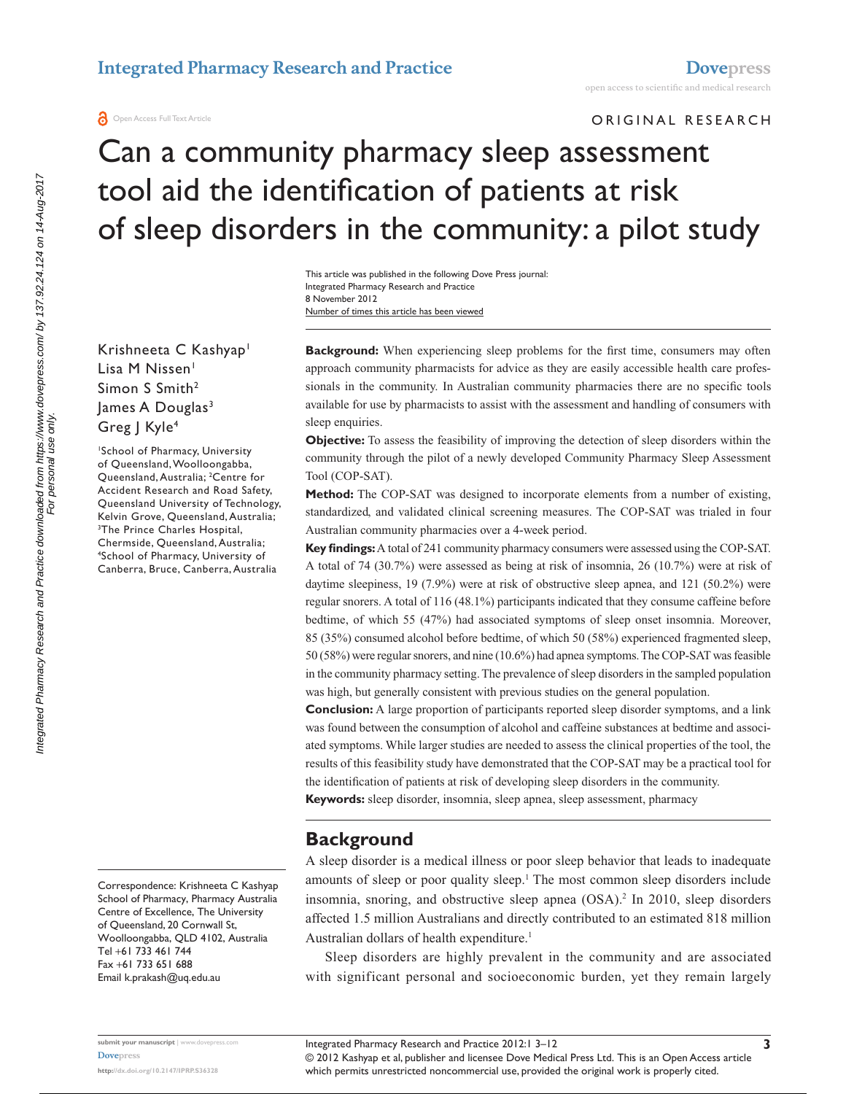**a** Open Access Full Text Article

ORIGINAL RESEARCH

# Can a community pharmacy sleep assessment tool aid the identification of patients at risk of sleep disorders in the community: a pilot study

Number of times this article has been viewed This article was published in the following Dove Press journal: Integrated Pharmacy Research and Practice 8 November 2012

Krishneeta C Kashyap<sup>1</sup> Lisa M Nissen<sup>1</sup> Simon S Smith2  $lames A Douglas<sup>3</sup>$ Greg | Kyle<sup>4</sup>

1 School of Pharmacy, University of Queensland, Woolloongabba, Queensland, Australia; <sup>2</sup> Centre for Accident Research and Road Safety, Queensland University of Technology, Kelvin Grove, Queensland, Australia; 3 The Prince Charles Hospital, Chermside, Queensland, Australia; 4 School of Pharmacy, University of Canberra, Bruce, Canberra, Australia

Correspondence: Krishneeta C Kashyap School of Pharmacy, Pharmacy Australia Centre of Excellence, The University of Queensland, 20 Cornwall St, Woolloongabba, QLD 4102, Australia Tel +61 733 461 744 Fax +61 733 651 688 Email [k.prakash@uq.edu.au](mailto:k.prakash@uq.edu.au)

**[Dovepress](www.dovepress.com)**

**http:[//dx.doi.org/10.2147/IPRP.S36328](http://dx.doi.org/10.2147/IPRP.S36328)**

**submit your manuscript** | <www.dovepress.com>

**Background:** When experiencing sleep problems for the first time, consumers may often approach community pharmacists for advice as they are easily accessible health care professionals in the community. In Australian community pharmacies there are no specific tools available for use by pharmacists to assist with the assessment and handling of consumers with

sleep enquiries.

**Objective:** To assess the feasibility of improving the detection of sleep disorders within the community through the pilot of a newly developed Community Pharmacy Sleep Assessment Tool (COP-SAT).

**Method:** The COP-SAT was designed to incorporate elements from a number of existing, standardized, and validated clinical screening measures. The COP-SAT was trialed in four Australian community pharmacies over a 4-week period.

**Key findings:** A total of 241 community pharmacy consumers were assessed using the COP-SAT. A total of 74 (30.7%) were assessed as being at risk of insomnia, 26 (10.7%) were at risk of daytime sleepiness, 19 (7.9%) were at risk of obstructive sleep apnea, and 121 (50.2%) were regular snorers. A total of 116 (48.1%) participants indicated that they consume caffeine before bedtime, of which 55 (47%) had associated symptoms of sleep onset insomnia. Moreover, 85 (35%) consumed alcohol before bedtime, of which 50 (58%) experienced fragmented sleep, 50 (58%) were regular snorers, and nine (10.6%) had apnea symptoms. The COP-SAT was feasible in the community pharmacy setting. The prevalence of sleep disorders in the sampled population was high, but generally consistent with previous studies on the general population.

**Conclusion:** A large proportion of participants reported sleep disorder symptoms, and a link was found between the consumption of alcohol and caffeine substances at bedtime and associated symptoms. While larger studies are needed to assess the clinical properties of the tool, the results of this feasibility study have demonstrated that the COP-SAT may be a practical tool for the identification of patients at risk of developing sleep disorders in the community.

**Keywords:** sleep disorder, insomnia, sleep apnea, sleep assessment, pharmacy

## **Background**

A sleep disorder is a medical illness or poor sleep behavior that leads to inadequate amounts of sleep or poor quality sleep.<sup>1</sup> The most common sleep disorders include insomnia, snoring, and obstructive sleep apnea (OSA).<sup>2</sup> In 2010, sleep disorders affected 1.5 million Australians and directly contributed to an estimated 818 million Australian dollars of health expenditure.<sup>1</sup>

Sleep disorders are highly prevalent in the community and are associated with significant personal and socioeconomic burden, yet they remain largely

© 2012 Kashyap et al, publisher and licensee Dove Medical Press Ltd. This is an Open Access article which permits unrestricted noncommercial use, provided the original work is properly cited.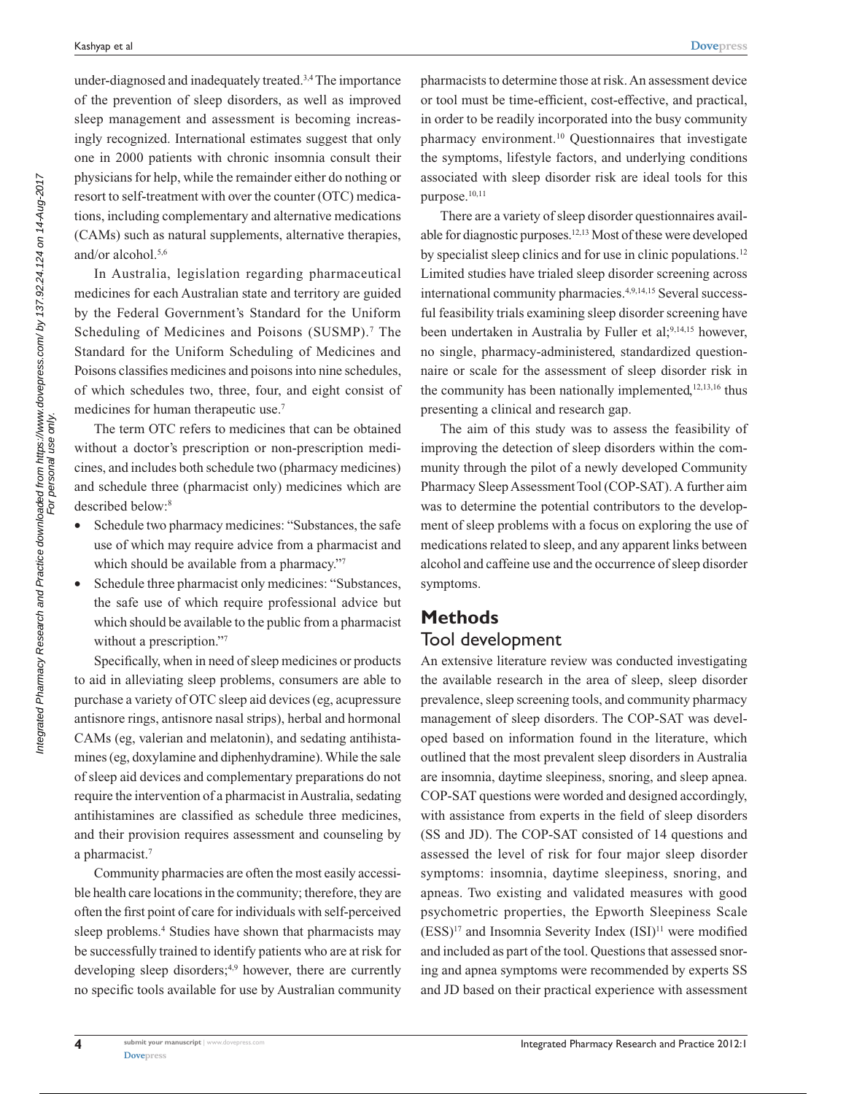under-diagnosed and inadequately treated.3,4 The importance of the prevention of sleep disorders, as well as improved sleep management and assessment is becoming increasingly recognized. International estimates suggest that only one in 2000 patients with chronic insomnia consult their physicians for help, while the remainder either do nothing or resort to self-treatment with over the counter (OTC) medications, including complementary and alternative medications (CAMs) such as natural supplements, alternative therapies, and/or alcohol. $5,6$ 

In Australia, legislation regarding pharmaceutical medicines for each Australian state and territory are guided by the Federal Government's Standard for the Uniform Scheduling of Medicines and Poisons (SUSMP).<sup>7</sup> The Standard for the Uniform Scheduling of Medicines and Poisons classifies medicines and poisons into nine schedules, of which schedules two, three, four, and eight consist of medicines for human therapeutic use.7

The term OTC refers to medicines that can be obtained without a doctor's prescription or non-prescription medicines, and includes both schedule two (pharmacy medicines) and schedule three (pharmacist only) medicines which are described below:<sup>8</sup>

- Schedule two pharmacy medicines: "Substances, the safe use of which may require advice from a pharmacist and which should be available from a pharmacy."7
- Schedule three pharmacist only medicines: "Substances, the safe use of which require professional advice but which should be available to the public from a pharmacist without a prescription."7

Specifically, when in need of sleep medicines or products to aid in alleviating sleep problems, consumers are able to purchase a variety of OTC sleep aid devices (eg, acupressure antisnore rings, antisnore nasal strips), herbal and hormonal CAMs (eg, valerian and melatonin), and sedating antihistamines (eg, doxylamine and diphenhydramine). While the sale of sleep aid devices and complementary preparations do not require the intervention of a pharmacist in Australia, sedating antihistamines are classified as schedule three medicines, and their provision requires assessment and counseling by a pharmacist.<sup>7</sup>

Community pharmacies are often the most easily accessible health care locations in the community; therefore, they are often the first point of care for individuals with self-perceived sleep problems.<sup>4</sup> Studies have shown that pharmacists may be successfully trained to identify patients who are at risk for developing sleep disorders;<sup>4,9</sup> however, there are currently no specific tools available for use by Australian community

pharmacists to determine those at risk. An assessment device or tool must be time-efficient, cost-effective, and practical, in order to be readily incorporated into the busy community pharmacy environment.10 Questionnaires that investigate the symptoms, lifestyle factors, and underlying conditions associated with sleep disorder risk are ideal tools for this purpose.10,11

There are a variety of sleep disorder questionnaires available for diagnostic purposes.12,13 Most of these were developed by specialist sleep clinics and for use in clinic populations.<sup>12</sup> Limited studies have trialed sleep disorder screening across international community pharmacies.<sup>4,9,14,15</sup> Several successful feasibility trials examining sleep disorder screening have been undertaken in Australia by Fuller et al;<sup>9,14,15</sup> however, no single, pharmacy-administered, standardized questionnaire or scale for the assessment of sleep disorder risk in the community has been nationally implemented, $12,13,16$  thus presenting a clinical and research gap.

The aim of this study was to assess the feasibility of improving the detection of sleep disorders within the community through the pilot of a newly developed Community Pharmacy Sleep Assessment Tool (COP-SAT). A further aim was to determine the potential contributors to the development of sleep problems with a focus on exploring the use of medications related to sleep, and any apparent links between alcohol and caffeine use and the occurrence of sleep disorder symptoms.

## **Methods**

### Tool development

An extensive literature review was conducted investigating the available research in the area of sleep, sleep disorder prevalence, sleep screening tools, and community pharmacy management of sleep disorders. The COP-SAT was developed based on information found in the literature, which outlined that the most prevalent sleep disorders in Australia are insomnia, daytime sleepiness, snoring, and sleep apnea. COP-SAT questions were worded and designed accordingly, with assistance from experts in the field of sleep disorders (SS and JD). The COP-SAT consisted of 14 questions and assessed the level of risk for four major sleep disorder symptoms: insomnia, daytime sleepiness, snoring, and apneas. Two existing and validated measures with good psychometric properties, the Epworth Sleepiness Scale  $(ESS)^{17}$  and Insomnia Severity Index  $(ISI)^{11}$  were modified and included as part of the tool. Questions that assessed snoring and apnea symptoms were recommended by experts SS and JD based on their practical experience with assessment

**4**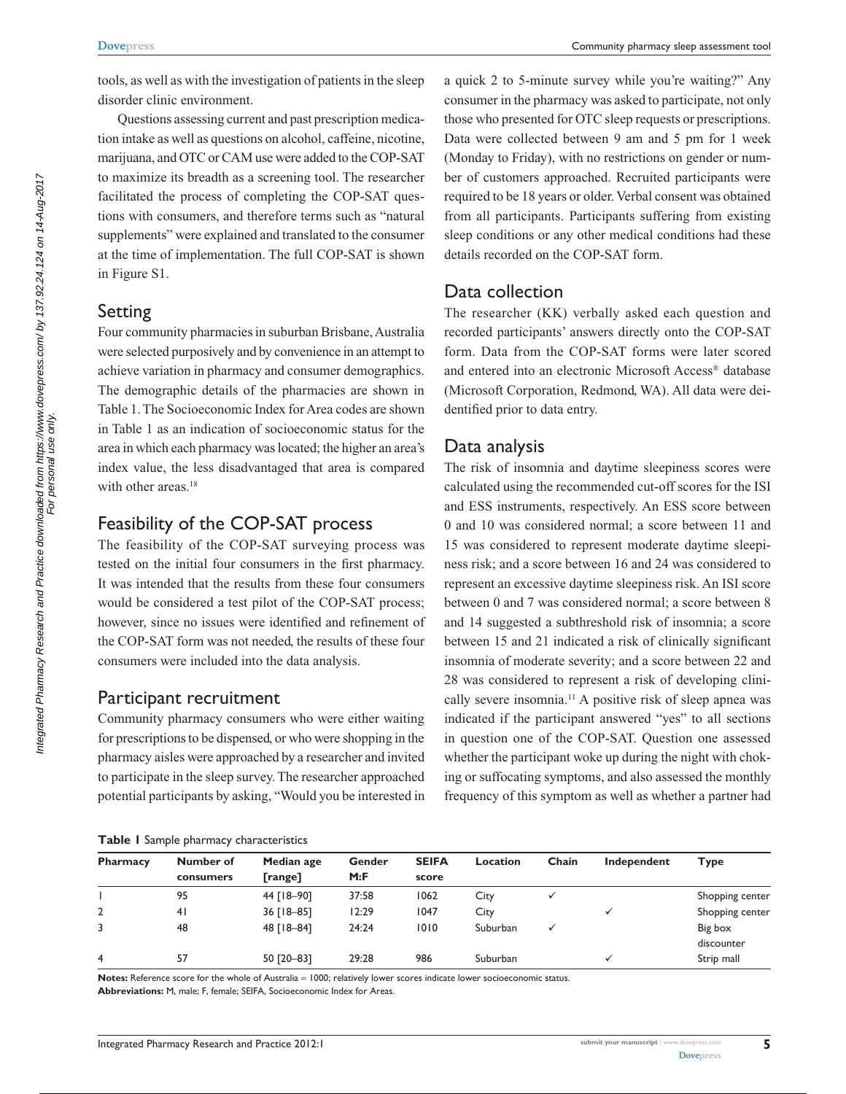tools, as well as with the investigation of patients in the sleep disorder clinic environment.

Questions assessing current and past prescription medication intake as well as questions on alcohol, caffeine, nicotine, marijuana, and OTC or CAM use were added to the COP-SAT to maximize its breadth as a screening tool. The researcher facilitated the process of completing the COP-SAT questions with consumers, and therefore terms such as "natural supplements" were explained and translated to the consumer at the time of implementation. The full COP-SAT is shown in Figure S1.

## Setting

Four community pharmacies in suburban Brisbane, Australia were selected purposively and by convenience in an attempt to achieve variation in pharmacy and consumer demographics. The demographic details of the pharmacies are shown in Table 1. The Socioeconomic Index for Area codes are shown in Table 1 as an indication of socioeconomic status for the area in which each pharmacy was located; the higher an area's index value, the less disadvantaged that area is compared with other areas.<sup>18</sup>

## Feasibility of the COP-SAT process

The feasibility of the COP-SAT surveying process was tested on the initial four consumers in the first pharmacy. It was intended that the results from these four consumers would be considered a test pilot of the COP-SAT process; however, since no issues were identified and refinement of the COP-SAT form was not needed, the results of these four consumers were included into the data analysis.

#### Participant recruitment

Community pharmacy consumers who were either waiting for prescriptions to be dispensed, or who were shopping in the pharmacy aisles were approached by a researcher and invited to participate in the sleep survey. The researcher approached potential participants by asking, "Would you be interested in a quick 2 to 5-minute survey while you're waiting?" Any consumer in the pharmacy was asked to participate, not only those who presented for OTC sleep requests or prescriptions. Data were collected between 9 am and 5 pm for 1 week (Monday to Friday), with no restrictions on gender or number of customers approached. Recruited participants were required to be 18 years or older. Verbal consent was obtained from all participants. Participants suffering from existing sleep conditions or any other medical conditions had these details recorded on the COP-SAT form.

## Data collection

The researcher (KK) verbally asked each question and recorded participants' answers directly onto the COP-SAT form. Data from the COP-SAT forms were later scored and entered into an electronic Microsoft Access® database (Microsoft Corporation, Redmond, WA). All data were deidentified prior to data entry.

## Data analysis

The risk of insomnia and daytime sleepiness scores were calculated using the recommended cut-off scores for the ISI and ESS instruments, respectively. An ESS score between 0 and 10 was considered normal; a score between 11 and 15 was considered to represent moderate daytime sleepiness risk; and a score between 16 and 24 was considered to represent an excessive daytime sleepiness risk. An ISI score between 0 and 7 was considered normal; a score between 8 and 14 suggested a subthreshold risk of insomnia; a score between 15 and 21 indicated a risk of clinically significant insomnia of moderate severity; and a score between 22 and 28 was considered to represent a risk of developing clinically severe insomnia.11 A positive risk of sleep apnea was indicated if the participant answered "yes" to all sections in question one of the COP-SAT. Question one assessed whether the participant woke up during the night with choking or suffocating symptoms, and also assessed the monthly frequency of this symptom as well as whether a partner had

**Table 1** Sample pharmacy characteristics

| Pharmacy | Number of      | Median age | Gender | <b>SEIFA</b> | Location | Chain | Independent | Type                  |
|----------|----------------|------------|--------|--------------|----------|-------|-------------|-----------------------|
|          | consumers      | [range]    | M: F   | score        |          |       |             |                       |
|          | 95             | 44 [18-90] | 37:58  | 1062         | City     | v     |             | Shopping center       |
|          | 4 <sub>1</sub> | 36 [18-85] | 12:29  | 1047         | City     |       |             | Shopping center       |
|          | 48             | 48 [18-84] | 24:24  | 1010         | Suburban | v     |             | Big box<br>discounter |
| 4        | 57             | 50 [20-83] | 29:28  | 986          | Suburban |       | v           | Strip mall            |

**Notes:** Reference score for the whole of Australia = 1000; relatively lower scores indicate lower socioeconomic status. **Abbreviations:** M, male; F, female; SEIFA, Socioeconomic Index for Areas.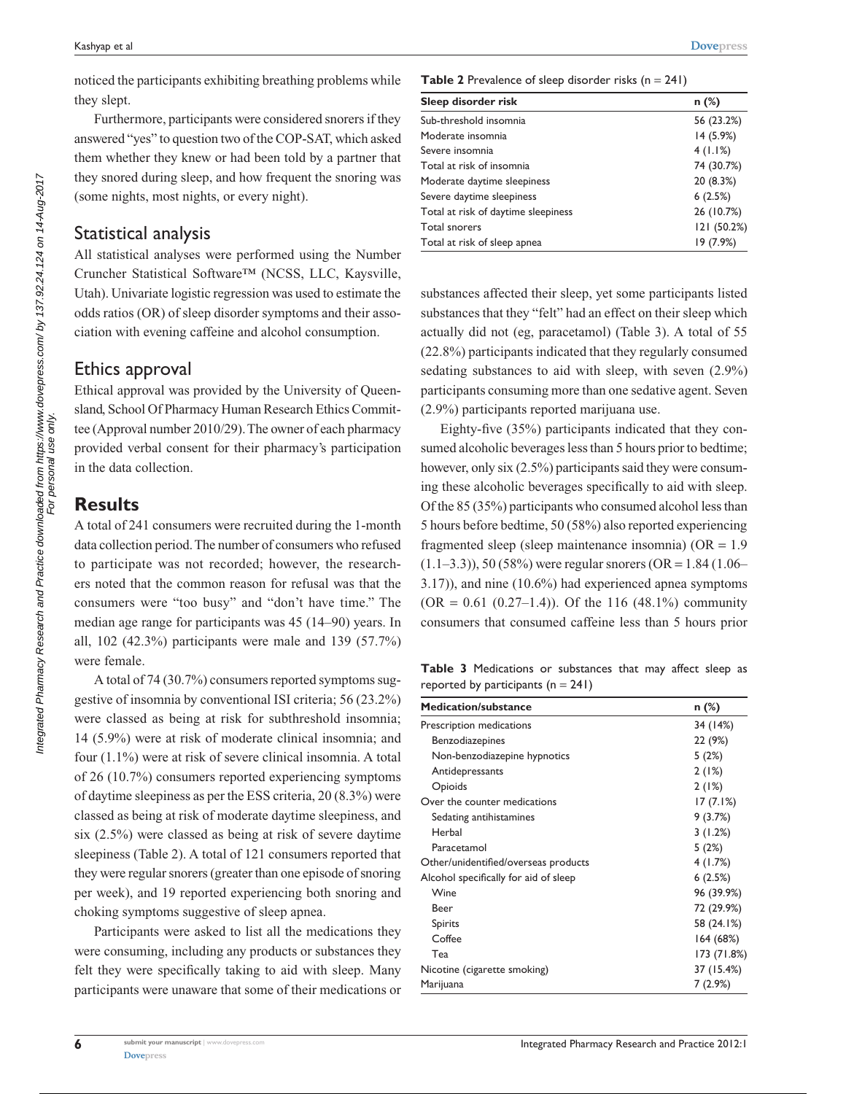noticed the participants exhibiting breathing problems while they slept.

Furthermore, participants were considered snorers if they answered "yes" to question two of the COP-SAT, which asked them whether they knew or had been told by a partner that they snored during sleep, and how frequent the snoring was (some nights, most nights, or every night).

#### Statistical analysis

All statistical analyses were performed using the Number Cruncher Statistical Software™ (NCSS, LLC, Kaysville, Utah). Univariate logistic regression was used to estimate the odds ratios (OR) of sleep disorder symptoms and their association with evening caffeine and alcohol consumption.

#### Ethics approval

Ethical approval was provided by the University of Queensland, School Of Pharmacy Human Research Ethics Committee (Approval number 2010/29). The owner of each pharmacy provided verbal consent for their pharmacy's participation in the data collection.

#### **Results**

A total of 241 consumers were recruited during the 1-month data collection period. The number of consumers who refused to participate was not recorded; however, the researchers noted that the common reason for refusal was that the consumers were "too busy" and "don't have time." The median age range for participants was 45 (14–90) years. In all, 102 (42.3%) participants were male and 139 (57.7%) were female.

A total of 74 (30.7%) consumers reported symptoms suggestive of insomnia by conventional ISI criteria; 56 (23.2%) were classed as being at risk for subthreshold insomnia; 14 (5.9%) were at risk of moderate clinical insomnia; and four (1.1%) were at risk of severe clinical insomnia. A total of 26 (10.7%) consumers reported experiencing symptoms of daytime sleepiness as per the ESS criteria, 20 (8.3%) were classed as being at risk of moderate daytime sleepiness, and six (2.5%) were classed as being at risk of severe daytime sleepiness (Table 2). A total of 121 consumers reported that they were regular snorers (greater than one episode of snoring per week), and 19 reported experiencing both snoring and choking symptoms suggestive of sleep apnea.

Participants were asked to list all the medications they were consuming, including any products or substances they felt they were specifically taking to aid with sleep. Many participants were unaware that some of their medications or

| Sleep disorder risk                 | n (%)       |
|-------------------------------------|-------------|
| Sub-threshold insomnia              | 56 (23.2%)  |
| Moderate insomnia                   | 14 (5.9%)   |
| Severe insomnia                     | 4(1.1%)     |
| Total at risk of insomnia           | 74 (30.7%)  |
| Moderate daytime sleepiness         | 20 (8.3%)   |
| Severe daytime sleepiness           | 6(2.5%)     |
| Total at risk of daytime sleepiness | 26 (10.7%)  |
| Total snorers                       | 121 (50.2%) |
| Total at risk of sleep apnea        | 19 (7.9%)   |

substances affected their sleep, yet some participants listed substances that they "felt" had an effect on their sleep which actually did not (eg, paracetamol) (Table 3). A total of 55 (22.8%) participants indicated that they regularly consumed sedating substances to aid with sleep, with seven (2.9%) participants consuming more than one sedative agent. Seven (2.9%) participants reported marijuana use.

Eighty-five (35%) participants indicated that they consumed alcoholic beverages less than 5 hours prior to bedtime; however, only six  $(2.5\%)$  participants said they were consuming these alcoholic beverages specifically to aid with sleep. Of the 85 (35%) participants who consumed alcohol less than 5 hours before bedtime, 50 (58%) also reported experiencing fragmented sleep (sleep maintenance insomnia)  $(OR = 1.9$  $(1.1–3.3)$ , 50 (58%) were regular snorers (OR = 1.84 (1.06– 3.17)), and nine (10.6%) had experienced apnea symptoms  $(OR = 0.61 (0.27-1.4))$ . Of the 116 (48.1%) community consumers that consumed caffeine less than 5 hours prior

**Table 3** Medications or substances that may affect sleep as reported by participants  $(n = 241)$ 

| <b>Medication/substance</b>           | $n (\%)$    |
|---------------------------------------|-------------|
| Prescription medications              | 34 (14%)    |
| <b>Benzodiazepines</b>                | 22 (9%)     |
| Non-benzodiazepine hypnotics          | 5(2%)       |
| Antidepressants                       | 2(1%)       |
| Opioids                               | 2(1%)       |
| Over the counter medications          | 17(7.1%)    |
| Sedating antihistamines               | 9(3.7%)     |
| Herbal                                | 3(1.2%)     |
| Paracetamol                           | 5(2%)       |
| Other/unidentified/overseas products  | 4(1.7%)     |
| Alcohol specifically for aid of sleep | 6(2.5%)     |
| Wine                                  | 96 (39.9%)  |
| Beer                                  | 72 (29.9%)  |
| Spirits                               | 58 (24.1%)  |
| Coffee                                | 164 (68%)   |
| Tea                                   | 173 (71.8%) |
| Nicotine (cigarette smoking)          | 37 (15.4%)  |
| Marijuana                             | 7 (2.9%)    |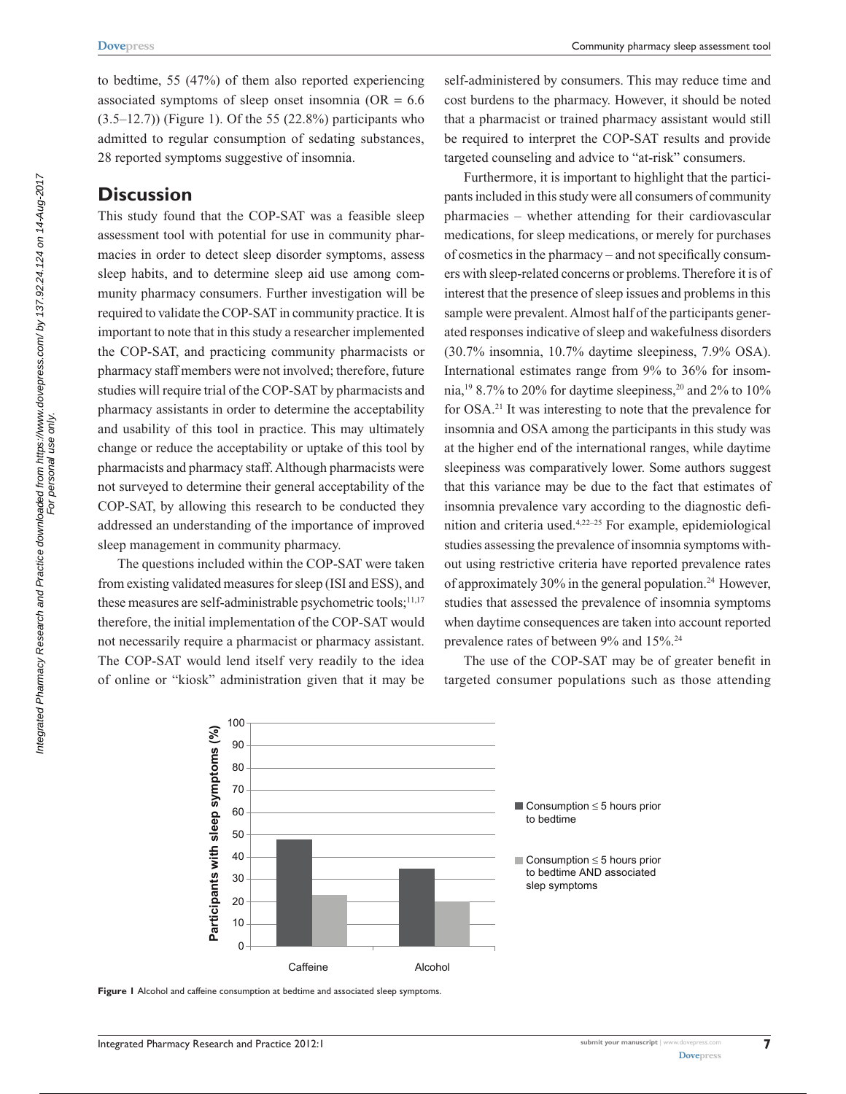to bedtime, 55 (47%) of them also reported experiencing associated symptoms of sleep onset insomnia ( $OR = 6.6$ )  $(3.5–12.7)$ ) (Figure 1). Of the 55 (22.8%) participants who admitted to regular consumption of sedating substances, 28 reported symptoms suggestive of insomnia.

#### **Discussion**

This study found that the COP-SAT was a feasible sleep assessment tool with potential for use in community pharmacies in order to detect sleep disorder symptoms, assess sleep habits, and to determine sleep aid use among community pharmacy consumers. Further investigation will be required to validate the COP-SAT in community practice. It is important to note that in this study a researcher implemented the COP-SAT, and practicing community pharmacists or pharmacy staff members were not involved; therefore, future studies will require trial of the COP-SAT by pharmacists and pharmacy assistants in order to determine the acceptability and usability of this tool in practice. This may ultimately change or reduce the acceptability or uptake of this tool by pharmacists and pharmacy staff. Although pharmacists were not surveyed to determine their general acceptability of the COP-SAT, by allowing this research to be conducted they addressed an understanding of the importance of improved sleep management in community pharmacy.

The questions included within the COP-SAT were taken from existing validated measures for sleep (ISI and ESS), and these measures are self-administrable psychometric tools; $^{11,17}$ therefore, the initial implementation of the COP-SAT would not necessarily require a pharmacist or pharmacy assistant. The COP-SAT would lend itself very readily to the idea of online or "kiosk" administration given that it may be self-administered by consumers. This may reduce time and cost burdens to the pharmacy. However, it should be noted that a pharmacist or trained pharmacy assistant would still be required to interpret the COP-SAT results and provide targeted counseling and advice to "at-risk" consumers.

Furthermore, it is important to highlight that the participants included in this study were all consumers of community pharmacies – whether attending for their cardiovascular medications, for sleep medications, or merely for purchases of cosmetics in the pharmacy – and not specifically consumers with sleep-related concerns or problems. Therefore it is of interest that the presence of sleep issues and problems in this sample were prevalent. Almost half of the participants generated responses indicative of sleep and wakefulness disorders (30.7% insomnia, 10.7% daytime sleepiness, 7.9% OSA). International estimates range from 9% to 36% for insomnia,<sup>19</sup> 8.7% to 20% for daytime sleepiness,<sup>20</sup> and 2% to 10% for OSA.21 It was interesting to note that the prevalence for insomnia and OSA among the participants in this study was at the higher end of the international ranges, while daytime sleepiness was comparatively lower. Some authors suggest that this variance may be due to the fact that estimates of insomnia prevalence vary according to the diagnostic definition and criteria used.4,22–25 For example, epidemiological studies assessing the prevalence of insomnia symptoms without using restrictive criteria have reported prevalence rates of approximately 30% in the general population.24 However, studies that assessed the prevalence of insomnia symptoms when daytime consequences are taken into account reported prevalence rates of between 9% and 15%.24

The use of the COP-SAT may be of greater benefit in targeted consumer populations such as those attending



**Figure 1** Alcohol and caffeine consumption at bedtime and associated sleep symptoms.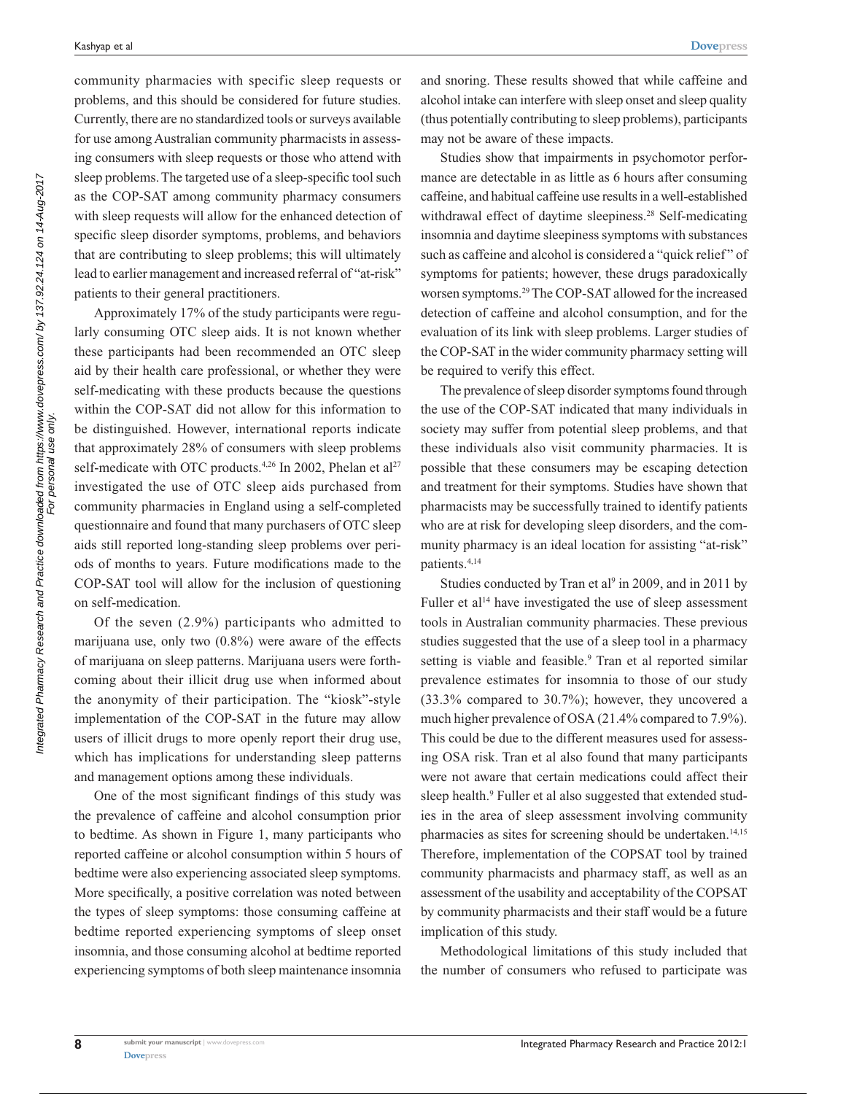community pharmacies with specific sleep requests or problems, and this should be considered for future studies. Currently, there are no standardized tools or surveys available for use among Australian community pharmacists in assessing consumers with sleep requests or those who attend with sleep problems. The targeted use of a sleep-specific tool such as the COP-SAT among community pharmacy consumers with sleep requests will allow for the enhanced detection of specific sleep disorder symptoms, problems, and behaviors that are contributing to sleep problems; this will ultimately lead to earlier management and increased referral of "at-risk" patients to their general practitioners.

Approximately 17% of the study participants were regularly consuming OTC sleep aids. It is not known whether these participants had been recommended an OTC sleep aid by their health care professional, or whether they were self-medicating with these products because the questions within the COP-SAT did not allow for this information to be distinguished. However, international reports indicate that approximately 28% of consumers with sleep problems self-medicate with OTC products.<sup>4,26</sup> In 2002, Phelan et al<sup>27</sup> investigated the use of OTC sleep aids purchased from community pharmacies in England using a self-completed questionnaire and found that many purchasers of OTC sleep aids still reported long-standing sleep problems over periods of months to years. Future modifications made to the COP-SAT tool will allow for the inclusion of questioning on self-medication.

Of the seven (2.9%) participants who admitted to marijuana use, only two (0.8%) were aware of the effects of marijuana on sleep patterns. Marijuana users were forthcoming about their illicit drug use when informed about the anonymity of their participation. The "kiosk"-style implementation of the COP-SAT in the future may allow users of illicit drugs to more openly report their drug use, which has implications for understanding sleep patterns and management options among these individuals.

One of the most significant findings of this study was the prevalence of caffeine and alcohol consumption prior to bedtime. As shown in Figure 1, many participants who reported caffeine or alcohol consumption within 5 hours of bedtime were also experiencing associated sleep symptoms. More specifically, a positive correlation was noted between the types of sleep symptoms: those consuming caffeine at bedtime reported experiencing symptoms of sleep onset insomnia, and those consuming alcohol at bedtime reported experiencing symptoms of both sleep maintenance insomnia and snoring. These results showed that while caffeine and alcohol intake can interfere with sleep onset and sleep quality (thus potentially contributing to sleep problems), participants may not be aware of these impacts.

Studies show that impairments in psychomotor performance are detectable in as little as 6 hours after consuming caffeine, and habitual caffeine use results in a well-established withdrawal effect of daytime sleepiness.<sup>28</sup> Self-medicating insomnia and daytime sleepiness symptoms with substances such as caffeine and alcohol is considered a "quick relief" of symptoms for patients; however, these drugs paradoxically worsen symptoms.29 The COP-SAT allowed for the increased detection of caffeine and alcohol consumption, and for the evaluation of its link with sleep problems. Larger studies of the COP-SAT in the wider community pharmacy setting will be required to verify this effect.

The prevalence of sleep disorder symptoms found through the use of the COP-SAT indicated that many individuals in society may suffer from potential sleep problems, and that these individuals also visit community pharmacies. It is possible that these consumers may be escaping detection and treatment for their symptoms. Studies have shown that pharmacists may be successfully trained to identify patients who are at risk for developing sleep disorders, and the community pharmacy is an ideal location for assisting "at-risk" patients.4,14

Studies conducted by Tran et al<sup>9</sup> in 2009, and in 2011 by Fuller et al<sup>14</sup> have investigated the use of sleep assessment tools in Australian community pharmacies. These previous studies suggested that the use of a sleep tool in a pharmacy setting is viable and feasible.<sup>9</sup> Tran et al reported similar prevalence estimates for insomnia to those of our study (33.3% compared to 30.7%); however, they uncovered a much higher prevalence of OSA (21.4% compared to 7.9%). This could be due to the different measures used for assessing OSA risk. Tran et al also found that many participants were not aware that certain medications could affect their sleep health.<sup>9</sup> Fuller et al also suggested that extended studies in the area of sleep assessment involving community pharmacies as sites for screening should be undertaken.<sup>14,15</sup> Therefore, implementation of the COPSAT tool by trained community pharmacists and pharmacy staff, as well as an assessment of the usability and acceptability of the COPSAT by community pharmacists and their staff would be a future implication of this study.

Methodological limitations of this study included that the number of consumers who refused to participate was

**[Dovepress](www.dovepress.com)**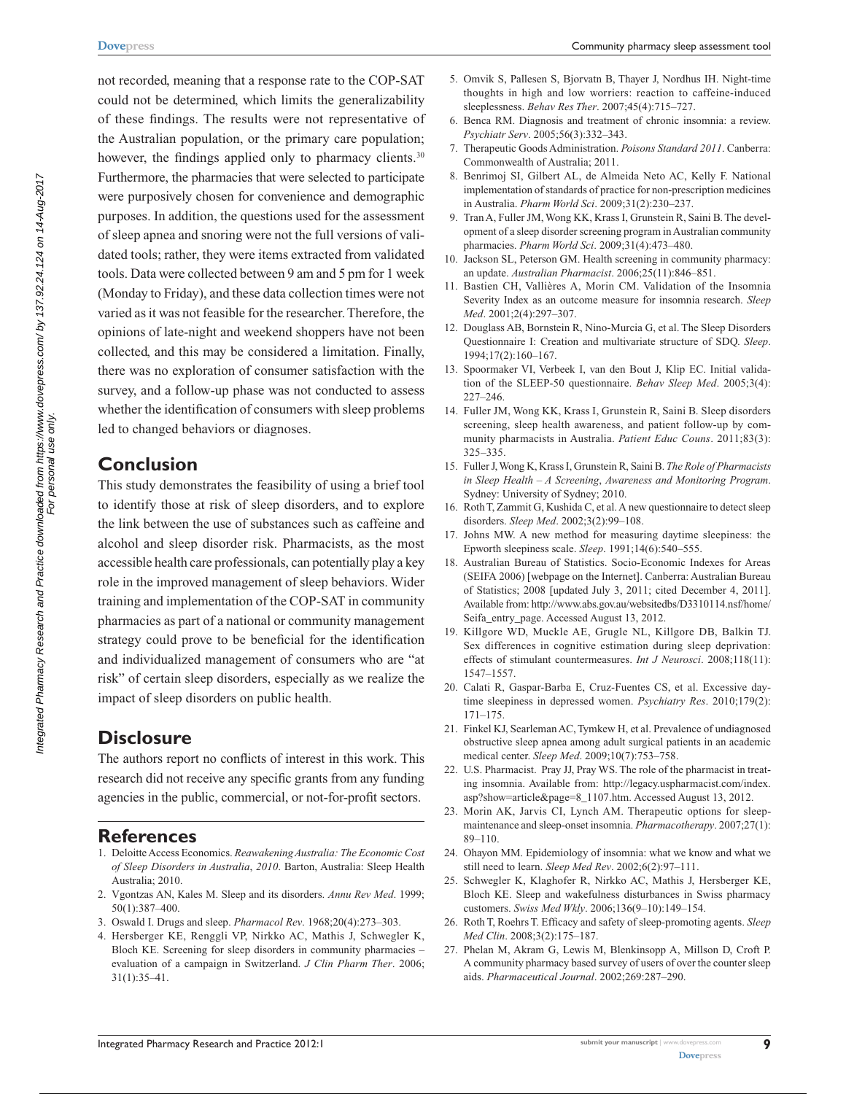not recorded, meaning that a response rate to the COP-SAT could not be determined, which limits the generalizability of these findings. The results were not representative of the Australian population, or the primary care population; however, the findings applied only to pharmacy clients.<sup>30</sup> Furthermore, the pharmacies that were selected to participate were purposively chosen for convenience and demographic purposes. In addition, the questions used for the assessment of sleep apnea and snoring were not the full versions of validated tools; rather, they were items extracted from validated tools. Data were collected between 9 am and 5 pm for 1 week (Monday to Friday), and these data collection times were not varied as it was not feasible for the researcher. Therefore, the opinions of late-night and weekend shoppers have not been collected, and this may be considered a limitation. Finally, there was no exploration of consumer satisfaction with the survey, and a follow-up phase was not conducted to assess whether the identification of consumers with sleep problems led to changed behaviors or diagnoses.

#### **Conclusion**

This study demonstrates the feasibility of using a brief tool to identify those at risk of sleep disorders, and to explore the link between the use of substances such as caffeine and alcohol and sleep disorder risk. Pharmacists, as the most accessible health care professionals, can potentially play a key role in the improved management of sleep behaviors. Wider training and implementation of the COP-SAT in community pharmacies as part of a national or community management strategy could prove to be beneficial for the identification and individualized management of consumers who are "at risk" of certain sleep disorders, especially as we realize the impact of sleep disorders on public health.

## **Disclosure**

The authors report no conflicts of interest in this work. This research did not receive any specific grants from any funding agencies in the public, commercial, or not-for-profit sectors.

#### **References**

- 1. Deloitte Access Economics. *Reawakening Australia: The Economic Cost of Sleep Disorders in Australia*, *2010*. Barton, Australia: Sleep Health Australia; 2010.
- 2. Vgontzas AN, Kales M. Sleep and its disorders. *Annu Rev Med*. 1999; 50(1):387–400.
- 3. Oswald I. Drugs and sleep. *Pharmacol Rev*. 1968;20(4):273–303.
- 4. Hersberger KE, Renggli VP, Nirkko AC, Mathis J, Schwegler K, Bloch KE. Screening for sleep disorders in community pharmacies – evaluation of a campaign in Switzerland. *J Clin Pharm Ther*. 2006; 31(1):35–41.
- 5. Omvik S, Pallesen S, Bjorvatn B, Thayer J, Nordhus IH. Night-time thoughts in high and low worriers: reaction to caffeine-induced sleeplessness. *Behav Res Ther*. 2007;45(4):715–727.
- 6. Benca RM. Diagnosis and treatment of chronic insomnia: a review. *Psychiatr Serv*. 2005;56(3):332–343.
- 7. Therapeutic Goods Administration. *Poisons Standard 2011*. Canberra: Commonwealth of Australia; 2011.
- 8. Benrimoj SI, Gilbert AL, de Almeida Neto AC, Kelly F. National implementation of standards of practice for non-prescription medicines in Australia. *Pharm World Sci*. 2009;31(2):230–237.
- 9. Tran A, Fuller JM, Wong KK, Krass I, Grunstein R, Saini B. The development of a sleep disorder screening program in Australian community pharmacies. *Pharm World Sci*. 2009;31(4):473–480.
- 10. Jackson SL, Peterson GM. Health screening in community pharmacy: an update. *Australian Pharmacist*. 2006;25(11):846–851.
- 11. Bastien CH, Vallières A, Morin CM. Validation of the Insomnia Severity Index as an outcome measure for insomnia research. *Sleep Med*. 2001;2(4):297–307.
- 12. Douglass AB, Bornstein R, Nino-Murcia G, et al. The Sleep Disorders Questionnaire I: Creation and multivariate structure of SDQ. *Sleep*. 1994;17(2):160–167.
- 13. Spoormaker VI, Verbeek I, van den Bout J, Klip EC. Initial validation of the SLEEP-50 questionnaire. *Behav Sleep Med*. 2005;3(4): 227–246.
- 14. Fuller JM, Wong KK, Krass I, Grunstein R, Saini B. Sleep disorders screening, sleep health awareness, and patient follow-up by community pharmacists in Australia. *Patient Educ Couns*. 2011;83(3): 325–335.
- 15. Fuller J, Wong K, Krass I, Grunstein R, Saini B. *The Role of Pharmacists in Sleep Health – A Screening*, *Awareness and Monitoring Program*. Sydney: University of Sydney; 2010.
- 16. Roth T, Zammit G, Kushida C, et al. A new questionnaire to detect sleep disorders. *Sleep Med*. 2002;3(2):99–108.
- 17. Johns MW. A new method for measuring daytime sleepiness: the Epworth sleepiness scale. *Sleep*. 1991;14(6):540–555.
- 18. Australian Bureau of Statistics. Socio-Economic Indexes for Areas (SEIFA 2006) [webpage on the Internet]. Canberra: Australian Bureau of Statistics; 2008 [updated July 3, 2011; cited December 4, 2011]. Available from: [http://www.abs.gov.au](http://www.abs.gov.au/websitedbs/D3310114.nsf/home/Seifa_entry_page)/websitedbs/D3310114.nsf/home/ Seifa\_entry\_page. Accessed August 13, 2012.
- 19. Killgore WD, Muckle AE, Grugle NL, Killgore DB, Balkin TJ. Sex differences in cognitive estimation during sleep deprivation: effects of stimulant countermeasures. *Int J Neurosci*. 2008;118(11): 1547–1557.
- 20. Calati R, Gaspar-Barba E, Cruz-Fuentes CS, et al. Excessive daytime sleepiness in depressed women. *Psychiatry Res*. 2010;179(2): 171–175.
- 21. Finkel KJ, Searleman AC, Tymkew H, et al. Prevalence of undiagnosed obstructive sleep apnea among adult surgical patients in an academic medical center. *Sleep Med*. 2009;10(7):753–758.
- 22. U.S. Pharmacist. Pray JJ, Pray WS. The role of the pharmacist in treating insomnia. Available from: [http://legacy.uspharmacist.com/index.](http://legacy.uspharmacist.com/index.asp?show=article&page=8_1107.htm) [asp?show=article&page=8\\_1107.htm](http://legacy.uspharmacist.com/index.asp?show=article&page=8_1107.htm). Accessed August 13, 2012.
- 23. Morin AK, Jarvis CI, Lynch AM. Therapeutic options for sleepmaintenance and sleep-onset insomnia. *Pharmacotherapy*. 2007;27(1): 89–110.
- 24. Ohayon MM. Epidemiology of insomnia: what we know and what we still need to learn. *Sleep Med Rev*. 2002;6(2):97–111.
- 25. Schwegler K, Klaghofer R, Nirkko AC, Mathis J, Hersberger KE, Bloch KE. Sleep and wakefulness disturbances in Swiss pharmacy customers. *Swiss Med Wkly*. 2006;136(9–10):149–154.
- 26. Roth T, Roehrs T. Efficacy and safety of sleep-promoting agents. *Sleep Med Clin*. 2008;3(2):175–187.
- 27. Phelan M, Akram G, Lewis M, Blenkinsopp A, Millson D, Croft P. A community pharmacy based survey of users of over the counter sleep aids. *Pharmaceutical Journal*. 2002;269:287–290.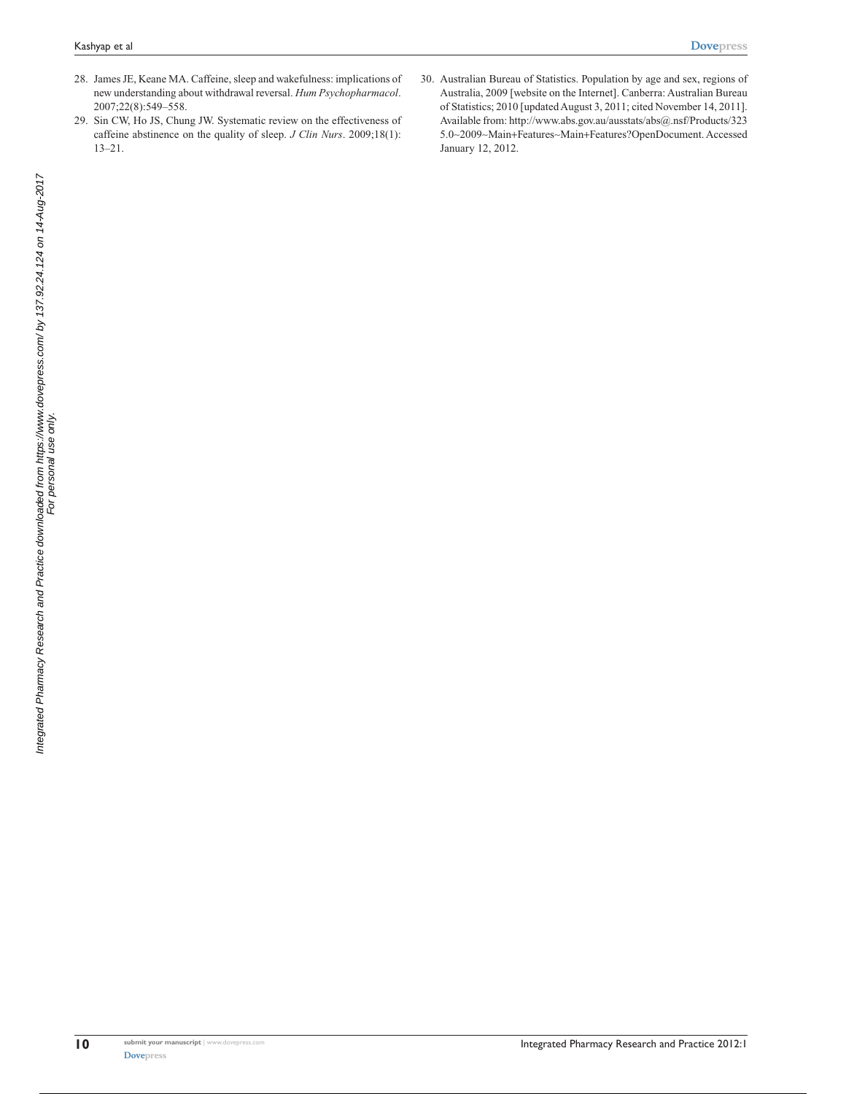- 28. James JE, Keane MA. Caffeine, sleep and wakefulness: implications of new understanding about withdrawal reversal. *Hum Psychopharmacol*. 2007;22(8):549–558.
- 29. Sin CW, Ho JS, Chung JW. Systematic review on the effectiveness of caffeine abstinence on the quality of sleep. *J Clin Nurs*. 2009;18(1): 13–21.
- 30. Australian Bureau of Statistics. Population by age and sex, regions of Australia, 2009 [website on the Internet]. Canberra: Australian Bureau of Statistics; 2010 [updated August 3, 2011; cited November 14, 2011]. Available from: [http://www.abs.gov.au/](http://www.abs.gov.au/ausstats/abs@.nsf/Products/3235.0<223C>2009<223C>Main+Features<223C>Main+Features?OpenDocument)ausstats/abs@.nsf/Products/323 5.0∼2009∼Main+Features∼Main+Features?OpenDocument. Accessed January 12, 2012.

**[Dovepress](www.dovepress.com)** 

**10**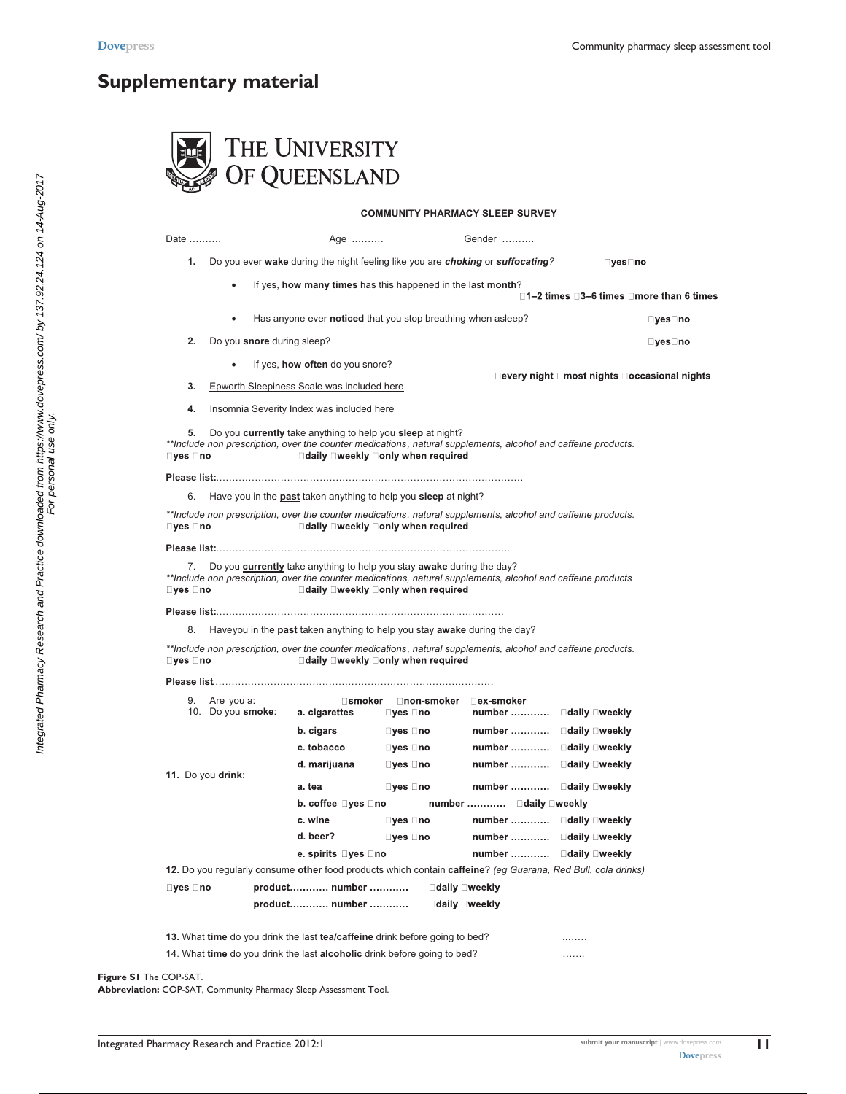## **Supplementary material**

|                                                                                  |                            |                                                                 |                                                                                                                                                          | <b>COMMUNITY PHARMACY SLEEP SURVEY</b>                                                                                                                                                                                        |                                              |
|----------------------------------------------------------------------------------|----------------------------|-----------------------------------------------------------------|----------------------------------------------------------------------------------------------------------------------------------------------------------|-------------------------------------------------------------------------------------------------------------------------------------------------------------------------------------------------------------------------------|----------------------------------------------|
| Date                                                                             |                            | Age                                                             |                                                                                                                                                          | Gender                                                                                                                                                                                                                        |                                              |
| 1.                                                                               |                            |                                                                 |                                                                                                                                                          | Do you ever wake during the night feeling like you are <i>choking</i> or <i>suffocating</i> ?                                                                                                                                 | ⊟yes⊟no                                      |
|                                                                                  | $\bullet$                  |                                                                 |                                                                                                                                                          | If yes, how many times has this happened in the last month?                                                                                                                                                                   | □1-2 times □3-6 times □more than 6 times     |
|                                                                                  | $\bullet$                  |                                                                 |                                                                                                                                                          | Has anyone ever noticed that you stop breathing when asleep?                                                                                                                                                                  | $\neg$ yes $\neg$ no                         |
| 2.                                                                               | Do you snore during sleep? |                                                                 |                                                                                                                                                          |                                                                                                                                                                                                                               | ⊟yes⊟no                                      |
|                                                                                  |                            |                                                                 |                                                                                                                                                          |                                                                                                                                                                                                                               |                                              |
|                                                                                  | $\bullet$                  | If yes, how often do you snore?                                 |                                                                                                                                                          |                                                                                                                                                                                                                               | □every night □most nights □occasional nights |
| 3.                                                                               |                            | Epworth Sleepiness Scale was included here                      |                                                                                                                                                          |                                                                                                                                                                                                                               |                                              |
| 4.                                                                               |                            | Insomnia Severity Index was included here                       |                                                                                                                                                          |                                                                                                                                                                                                                               |                                              |
| 5.<br>$\neg$ yes $\neg$ no                                                       |                            |                                                                 | Do you <b>currently</b> take anything to help you sleep at night?<br>□daily □weekly □only when required                                                  | **Include non prescription, over the counter medications, natural supplements, alcohol and caffeine products.                                                                                                                 |                                              |
|                                                                                  |                            |                                                                 |                                                                                                                                                          |                                                                                                                                                                                                                               |                                              |
| 6.                                                                               |                            | Have you in the past taken anything to help you sleep at night? |                                                                                                                                                          |                                                                                                                                                                                                                               |                                              |
|                                                                                  |                            |                                                                 |                                                                                                                                                          |                                                                                                                                                                                                                               |                                              |
| 7.                                                                               |                            |                                                                 | <b>□daily □weekly □only when required</b><br>Do you currently take anything to help you stay awake during the day?<br>□daily □weekly □only when required | **Include non prescription, over the counter medications, natural supplements, alcohol and caffeine products.<br>**Include non prescription, over the counter medications, natural supplements, alcohol and caffeine products |                                              |
| 8.                                                                               |                            |                                                                 |                                                                                                                                                          | Haveyou in the <b>past</b> taken anything to help you stay <b>awake</b> during the day?<br>**Include non prescription, over the counter medications, natural supplements, alcohol and caffeine products.                      |                                              |
|                                                                                  |                            |                                                                 | □daily □weekly □only when required                                                                                                                       |                                                                                                                                                                                                                               |                                              |
|                                                                                  | 9. Are you a:              |                                                                 |                                                                                                                                                          | <b>⊟smoker ⊟non-smoker ⊟ex-smoker</b>                                                                                                                                                                                         |                                              |
|                                                                                  |                            | 10. Do you smoke: a. cigarettes                                 | ⊟yes ⊟no                                                                                                                                                 | number  □daily □weekly                                                                                                                                                                                                        |                                              |
|                                                                                  |                            | b. cigars                                                       |                                                                                                                                                          |                                                                                                                                                                                                                               |                                              |
|                                                                                  |                            |                                                                 | c. tobacco les la lues la lungue de la lungue de la lungue de la lungue de la lungue de la lungue d                                                      | number  □daily □weekly                                                                                                                                                                                                        |                                              |
|                                                                                  | 11. Do you drink:          | d. marijuana                                                    | $\neg$ yes $\neg$ no                                                                                                                                     | number  □daily □weekly                                                                                                                                                                                                        |                                              |
|                                                                                  |                            | a. tea                                                          | ⊟yes ⊟no                                                                                                                                                 | number  □daily □weekly                                                                                                                                                                                                        |                                              |
|                                                                                  |                            | b. coffee □yes □no                                              |                                                                                                                                                          | number  □daily □weekly                                                                                                                                                                                                        |                                              |
|                                                                                  |                            | c. wine                                                         | $\neg$ yes $\neg$ no                                                                                                                                     | number  □daily □weekly                                                                                                                                                                                                        |                                              |
|                                                                                  |                            | d. beer?                                                        | $\neg$ yes $\neg$ no                                                                                                                                     | number  □daily □weekly                                                                                                                                                                                                        |                                              |
|                                                                                  |                            | e. spirits □yes □no                                             |                                                                                                                                                          | number  □daily □weekly                                                                                                                                                                                                        |                                              |
| $\neg$ yes $\neg$ no<br>$\neg$ yes $\neg$ no<br>$\neg$ yes $\neg$ no<br>□yes □no |                            | product number                                                  |                                                                                                                                                          | 12. Do you regularly consume other food products which contain caffeine? (eg Guarana, Red Bull, cola drinks)<br>⊟daily ⊟weekly                                                                                                |                                              |

**Figure S1 Abbreviation:** COP-SAT, Community Pharmacy Sleep Assessment Tool.